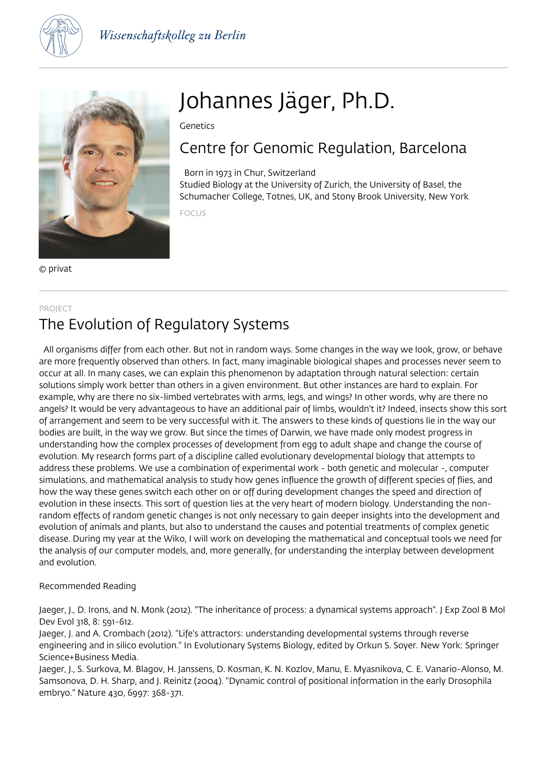



© privat

# Johannes Jäger, Ph.D.

Genetics

## Centre for Genomic Regulation, Barcelona

 Born in 1973 in Chur, Switzerland Studied Biology at the University of Zurich, the University of Basel, the Schumacher College, Totnes, UK, and Stony Brook University, New York

FOCUS

### PROJECT The Evolution of Regulatory Systems

 All organisms differ from each other. But not in random ways. Some changes in the way we look, grow, or behave are more frequently observed than others. In fact, many imaginable biological shapes and processes never seem to occur at all. In many cases, we can explain this phenomenon by adaptation through natural selection: certain solutions simply work better than others in a given environment. But other instances are hard to explain. For example, why are there no six-limbed vertebrates with arms, legs, and wings? In other words, why are there no angels? It would be very advantageous to have an additional pair of limbs, wouldn't it? Indeed, insects show this sort of arrangement and seem to be very successful with it. The answers to these kinds of questions lie in the way our bodies are built, in the way we grow. But since the times of Darwin, we have made only modest progress in understanding how the complex processes of development from egg to adult shape and change the course of evolution. My research forms part of a discipline called evolutionary developmental biology that attempts to address these problems. We use a combination of experimental work - both genetic and molecular -, computer simulations, and mathematical analysis to study how genes influence the growth of different species of flies, and how the way these genes switch each other on or off during development changes the speed and direction of evolution in these insects. This sort of question lies at the very heart of modern biology. Understanding the nonrandom effects of random genetic changes is not only necessary to gain deeper insights into the development and evolution of animals and plants, but also to understand the causes and potential treatments of complex genetic disease. During my year at the Wiko, I will work on developing the mathematical and conceptual tools we need for the analysis of our computer models, and, more generally, for understanding the interplay between development and evolution.

Recommended Reading

Jaeger, J., D. Irons, and N. Monk (2012). "The inheritance of process: a dynamical systems approach". J Exp Zool B Mol Dev Evol 318, 8: 591-612.

Jaeger, J. and A. Crombach (2012). "Life's attractors: understanding developmental systems through reverse engineering and in silico evolution." In Evolutionary Systems Biology, edited by Orkun S. Soyer. New York: Springer Science+Business Media.

Jaeger, J., S. Surkova, M. Blagov, H. Janssens, D. Kosman, K. N. Kozlov, Manu, E. Myasnikova, C. E. Vanario-Alonso, M. Samsonova, D. H. Sharp, and J. Reinitz (2004). "Dynamic control of positional information in the early Drosophila embryo." Nature 430, 6997: 368-371.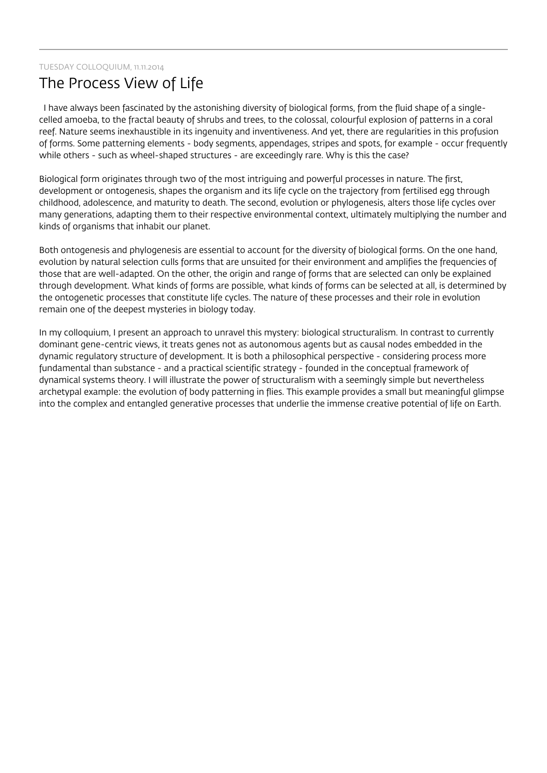#### TUESDAY COLLOQUIUM, 11.11.2014

### The Process View of Life

 I have always been fascinated by the astonishing diversity of biological forms, from the fluid shape of a singlecelled amoeba, to the fractal beauty of shrubs and trees, to the colossal, colourful explosion of patterns in a coral reef. Nature seems inexhaustible in its ingenuity and inventiveness. And yet, there are regularities in this profusion of forms. Some patterning elements - body segments, appendages, stripes and spots, for example - occur frequently while others - such as wheel-shaped structures - are exceedingly rare. Why is this the case?

Biological form originates through two of the most intriguing and powerful processes in nature. The first, development or ontogenesis, shapes the organism and its life cycle on the trajectory from fertilised egg through childhood, adolescence, and maturity to death. The second, evolution or phylogenesis, alters those life cycles over many generations, adapting them to their respective environmental context, ultimately multiplying the number and kinds of organisms that inhabit our planet.

Both ontogenesis and phylogenesis are essential to account for the diversity of biological forms. On the one hand, evolution by natural selection culls forms that are unsuited for their environment and amplifies the frequencies of those that are well-adapted. On the other, the origin and range of forms that are selected can only be explained through development. What kinds of forms are possible, what kinds of forms can be selected at all, is determined by the ontogenetic processes that constitute life cycles. The nature of these processes and their role in evolution remain one of the deepest mysteries in biology today.

In my colloquium, I present an approach to unravel this mystery: biological structuralism. In contrast to currently dominant gene-centric views, it treats genes not as autonomous agents but as causal nodes embedded in the dynamic regulatory structure of development. It is both a philosophical perspective - considering process more fundamental than substance - and a practical scientific strategy - founded in the conceptual framework of dynamical systems theory. I will illustrate the power of structuralism with a seemingly simple but nevertheless archetypal example: the evolution of body patterning in flies. This example provides a small but meaningful glimpse into the complex and entangled generative processes that underlie the immense creative potential of life on Earth.